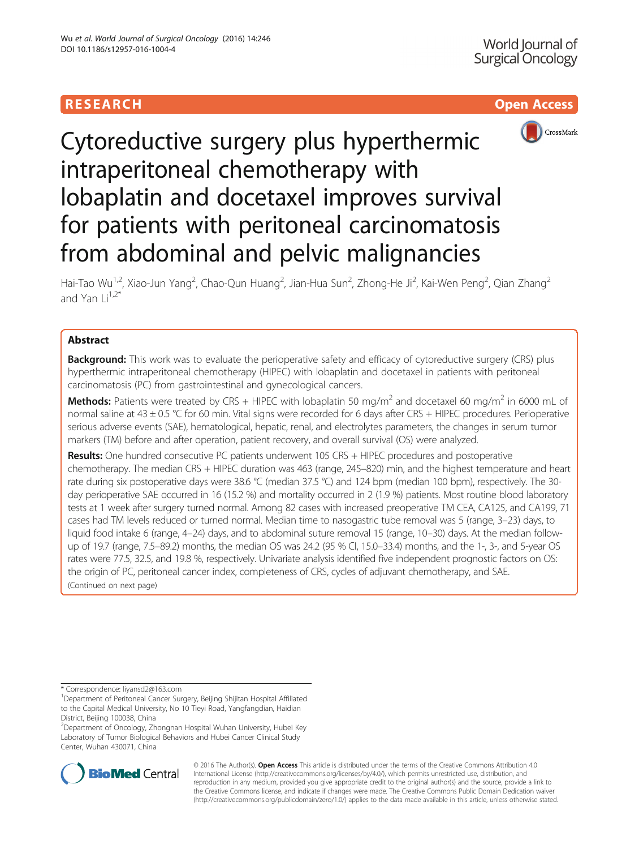



# Cytoreductive surgery plus hyperthermic intraperitoneal chemotherapy with lobaplatin and docetaxel improves survival for patients with peritoneal carcinomatosis from abdominal and pelvic malignancies

Hai-Tao Wu<sup>1,2</sup>, Xiao-Jun Yang<sup>2</sup>, Chao-Qun Huang<sup>2</sup>, Jian-Hua Sun<sup>2</sup>, Zhong-He Ji<sup>2</sup>, Kai-Wen Peng<sup>2</sup>, Qian Zhang<sup>2</sup> and Yan  $Li^{1,2*}$ 

# Abstract

**Background:** This work was to evaluate the perioperative safety and efficacy of cytoreductive surgery (CRS) plus hyperthermic intraperitoneal chemotherapy (HIPEC) with lobaplatin and docetaxel in patients with peritoneal carcinomatosis (PC) from gastrointestinal and gynecological cancers.

**Methods:** Patients were treated by CRS + HIPEC with lobaplatin 50 mg/m<sup>2</sup> and docetaxel 60 mg/m<sup>2</sup> in 6000 mL of normal saline at 43  $\pm$  0.5 °C for 60 min. Vital signs were recorded for 6 days after CRS + HIPEC procedures. Perioperative serious adverse events (SAE), hematological, hepatic, renal, and electrolytes parameters, the changes in serum tumor markers (TM) before and after operation, patient recovery, and overall survival (OS) were analyzed.

Results: One hundred consecutive PC patients underwent 105 CRS + HIPEC procedures and postoperative chemotherapy. The median CRS + HIPEC duration was 463 (range, 245–820) min, and the highest temperature and heart rate during six postoperative days were 38.6 °C (median 37.5 °C) and 124 bpm (median 100 bpm), respectively. The 30 day perioperative SAE occurred in 16 (15.2 %) and mortality occurred in 2 (1.9 %) patients. Most routine blood laboratory tests at 1 week after surgery turned normal. Among 82 cases with increased preoperative TM CEA, CA125, and CA199, 71 cases had TM levels reduced or turned normal. Median time to nasogastric tube removal was 5 (range, 3–23) days, to liquid food intake 6 (range, 4–24) days, and to abdominal suture removal 15 (range, 10–30) days. At the median followup of 19.7 (range, 7.5–89.2) months, the median OS was 24.2 (95 % CI, 15.0–33.4) months, and the 1-, 3-, and 5-year OS rates were 77.5, 32.5, and 19.8 %, respectively. Univariate analysis identified five independent prognostic factors on OS: the origin of PC, peritoneal cancer index, completeness of CRS, cycles of adjuvant chemotherapy, and SAE. (Continued on next page)

\* Correspondence: [liyansd2@163.com](mailto:liyansd2@163.com) <sup>1</sup>

<sup>2</sup> Department of Oncology, Zhongnan Hospital Wuhan University, Hubei Key Laboratory of Tumor Biological Behaviors and Hubei Cancer Clinical Study Center, Wuhan 430071, China



© 2016 The Author(s). Open Access This article is distributed under the terms of the Creative Commons Attribution 4.0 International License [\(http://creativecommons.org/licenses/by/4.0/](http://creativecommons.org/licenses/by/4.0/)), which permits unrestricted use, distribution, and reproduction in any medium, provided you give appropriate credit to the original author(s) and the source, provide a link to the Creative Commons license, and indicate if changes were made. The Creative Commons Public Domain Dedication waiver [\(http://creativecommons.org/publicdomain/zero/1.0/](http://creativecommons.org/publicdomain/zero/1.0/)) applies to the data made available in this article, unless otherwise stated.

<sup>&</sup>lt;sup>1</sup>Department of Peritoneal Cancer Surgery, Beijing Shijitan Hospital Affiliated to the Capital Medical University, No 10 Tieyi Road, Yangfangdian, Haidian District, Beijing 100038, China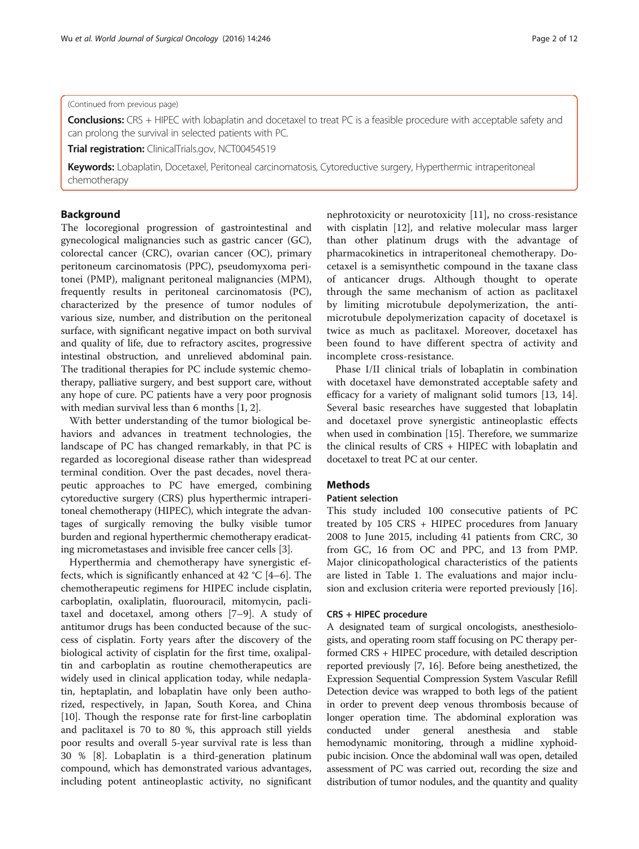# (Continued from previous page)

Conclusions: CRS + HIPEC with lobaplatin and docetaxel to treat PC is a feasible procedure with acceptable safety and can prolong the survival in selected patients with PC.

**Trial registration:** ClinicalTrials.gov, [NCT00454519](http://www.clinicaltrials.gov/ct2/show/NCT00454519)

Keywords: Lobaplatin, Docetaxel, Peritoneal carcinomatosis, Cytoreductive surgery, Hyperthermic intraperitoneal chemotherapy

# Background

The locoregional progression of gastrointestinal and gynecological malignancies such as gastric cancer (GC), colorectal cancer (CRC), ovarian cancer (OC), primary peritoneum carcinomatosis (PPC), pseudomyxoma peritonei (PMP), malignant peritoneal malignancies (MPM), frequently results in peritoneal carcinomatosis (PC), characterized by the presence of tumor nodules of various size, number, and distribution on the peritoneal surface, with significant negative impact on both survival and quality of life, due to refractory ascites, progressive intestinal obstruction, and unrelieved abdominal pain. The traditional therapies for PC include systemic chemotherapy, palliative surgery, and best support care, without any hope of cure. PC patients have a very poor prognosis with median survival less than 6 months [[1, 2](#page-11-0)].

With better understanding of the tumor biological behaviors and advances in treatment technologies, the landscape of PC has changed remarkably, in that PC is regarded as locoregional disease rather than widespread terminal condition. Over the past decades, novel therapeutic approaches to PC have emerged, combining cytoreductive surgery (CRS) plus hyperthermic intraperitoneal chemotherapy (HIPEC), which integrate the advantages of surgically removing the bulky visible tumor burden and regional hyperthermic chemotherapy eradicating micrometastases and invisible free cancer cells [[3\]](#page-11-0).

Hyperthermia and chemotherapy have synergistic effects, which is significantly enhanced at 42 °C [\[4](#page-11-0)–[6](#page-11-0)]. The chemotherapeutic regimens for HIPEC include cisplatin, carboplatin, oxaliplatin, fluorouracil, mitomycin, paclitaxel and docetaxel, among others [[7](#page-11-0)–[9\]](#page-11-0). A study of antitumor drugs has been conducted because of the success of cisplatin. Forty years after the discovery of the biological activity of cisplatin for the first time, oxalipaltin and carboplatin as routine chemotherapeutics are widely used in clinical application today, while nedaplatin, heptaplatin, and lobaplatin have only been authorized, respectively, in Japan, South Korea, and China [[10\]](#page-11-0). Though the response rate for first-line carboplatin and paclitaxel is 70 to 80 %, this approach still yields poor results and overall 5-year survival rate is less than 30 % [[8\]](#page-11-0). Lobaplatin is a third-generation platinum compound, which has demonstrated various advantages, including potent antineoplastic activity, no significant

nephrotoxicity or neurotoxicity [\[11\]](#page-11-0), no cross-resistance with cisplatin [[12\]](#page-11-0), and relative molecular mass larger than other platinum drugs with the advantage of pharmacokinetics in intraperitoneal chemotherapy. Docetaxel is a semisynthetic compound in the taxane class of anticancer drugs. Although thought to operate through the same mechanism of action as paclitaxel by limiting microtubule depolymerization, the antimicrotubule depolymerization capacity of docetaxel is twice as much as paclitaxel. Moreover, docetaxel has been found to have different spectra of activity and incomplete cross-resistance.

Phase I/II clinical trials of lobaplatin in combination with docetaxel have demonstrated acceptable safety and efficacy for a variety of malignant solid tumors [[13, 14](#page-11-0)]. Several basic researches have suggested that lobaplatin and docetaxel prove synergistic antineoplastic effects when used in combination [\[15\]](#page-11-0). Therefore, we summarize the clinical results of CRS + HIPEC with lobaplatin and docetaxel to treat PC at our center.

# **Methods**

# Patient selection

This study included 100 consecutive patients of PC treated by 105 CRS + HIPEC procedures from January 2008 to June 2015, including 41 patients from CRC, 30 from GC, 16 from OC and PPC, and 13 from PMP. Major clinicopathological characteristics of the patients are listed in Table [1.](#page-2-0) The evaluations and major inclusion and exclusion criteria were reported previously [\[16](#page-11-0)].

# CRS + HIPEC procedure

A designated team of surgical oncologists, anesthesiologists, and operating room staff focusing on PC therapy performed CRS + HIPEC procedure, with detailed description reported previously [\[7, 16\]](#page-11-0). Before being anesthetized, the Expression Sequential Compression System Vascular Refill Detection device was wrapped to both legs of the patient in order to prevent deep venous thrombosis because of longer operation time. The abdominal exploration was conducted under general anesthesia and stable hemodynamic monitoring, through a midline xyphoidpubic incision. Once the abdominal wall was open, detailed assessment of PC was carried out, recording the size and distribution of tumor nodules, and the quantity and quality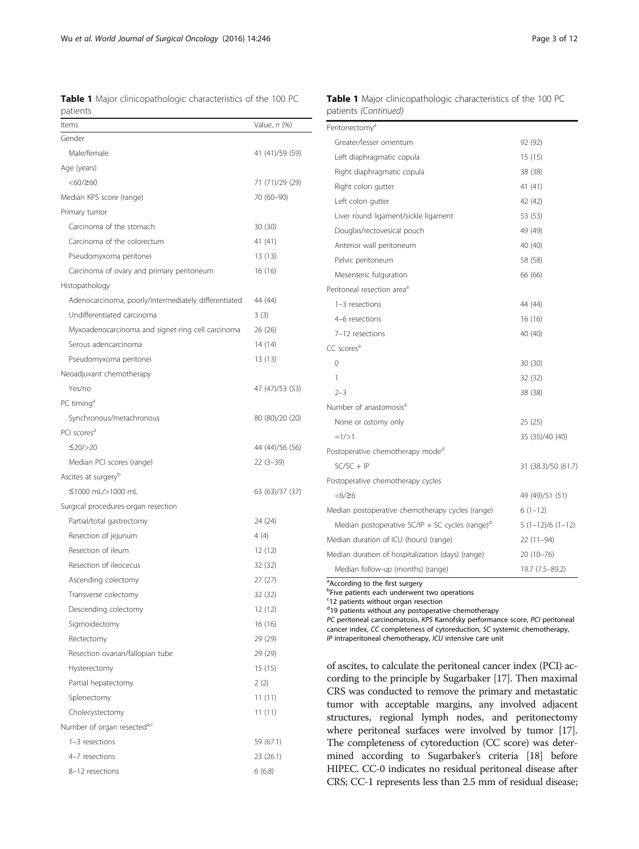<span id="page-2-0"></span>Wu et al. World Journal of Surgical Oncology (2016) 14:246 **Page 3 of 12** Page 3 of 12

Table 1 Major clinicopathologic characteristics of the 100 PC patients

| Items                                                | Value, <i>n</i> (%) |
|------------------------------------------------------|---------------------|
| Gender                                               |                     |
| Male/female                                          | 41 (41)/59 (59)     |
| Age (years)                                          |                     |
| $<\!\!60/\!\!\geq$                                   | 71 (71)/29 (29)     |
| Median KPS score (range)                             | 70 (60-90)          |
| Primary tumor                                        |                     |
| Carcinoma of the stomach                             | 30 (30)             |
| Carcinoma of the colorectum                          | 41 (41)             |
| Pseudomyxoma peritonei                               | 13 (13)             |
| Carcinoma of ovary and primary peritoneum            | 16 (16)             |
| Histopathology                                       |                     |
| Adenocarcinoma, poorly/intermediately differentiated | 44 (44)             |
| Undifferentiated carcinoma                           | 3(3)                |
| Myxoadenocarcinoma and signet-ring cell carcinoma    | 26 (26)             |
| Serous adencarcinoma                                 | 14 (14)             |
| Pseudomyxoma peritonei                               | 13 (13)             |
| Neoadjuvant chemotherapy                             |                     |
| Yes/no                                               | 47 (47)/53 (53)     |
| PC timing <sup>a</sup>                               |                     |
| Synchronous/metachronous                             | 80 (80)/20 (20)     |
| PCI scores <sup>a</sup>                              |                     |
| ≤20/>20                                              | 44 (44)/56 (56)     |
| Median PCI scores (range)                            | $22(3-39)$          |
| Ascites at surgery <sup>b</sup>                      |                     |
| ≤1000 mL/>1000 mL                                    | 63 (63)/37 (37)     |
| Surgical procedures-organ resection                  |                     |
| Partial/total gastrectomy                            | 24 (24)             |
| Resection of jejunum                                 | 4(4)                |
| Resection of ileum                                   | 12 (12)             |
| Resection of ileocecus                               | 32 (32)             |
| Ascending colectomy                                  | 27 (27)             |
| Transverse colectomy                                 | 32 (32)             |
| Descending colectomy                                 | 12 (12)             |
| Sigmoidectomy                                        | 16 (16)             |
| Rectectomy                                           | 29 (29)             |
| Resection ovarian/fallopian tube                     | 29 (29)             |
| Hysterectomy                                         | 15 (15)             |
| Partial hepatectomy                                  | 2(2)                |
| Splenectomy                                          | 11 (11)             |
| Cholecystectomy                                      | 11 (11)             |
| Number of organ resected <sup>a,c</sup>              |                     |
| 1-3 resections                                       | 59 (67.1)           |
| 4-7 resections                                       | 23 (26.1)           |
| 8-12 resections                                      | 6(6.8)              |

|                      |  | Table 1 Major clinicopathologic characteristics of the 100 PC |  |  |
|----------------------|--|---------------------------------------------------------------|--|--|
| patients (Continued) |  |                                                               |  |  |

| Peritonectomy <sup>a</sup>                                  |                     |
|-------------------------------------------------------------|---------------------|
| Greater/lesser omentum                                      | 92 (92)             |
| Left diaphragmatic copula                                   | 15(15)              |
| Right diaphragmatic copula                                  | 38 (38)             |
| Right colon gutter                                          | 41 (41)             |
| Left colon gutter                                           | 42 (42)             |
| Liver round ligament/sickle ligament                        | 53 (53)             |
| Douglas/rectovesical pouch                                  | 49 (49)             |
| Anterior wall peritoneum                                    | 40 (40)             |
| Pelvic peritoneum                                           | 58 (58)             |
| Mesenteric fulguration                                      | 66 (66)             |
| Peritoneal resection area <sup>a</sup>                      |                     |
| 1-3 resections                                              | 44 (44)             |
| 4-6 resections                                              | 16 (16)             |
| 7-12 resections                                             | 40 (40)             |
| CC scores <sup>a</sup>                                      |                     |
| $\Omega$                                                    | 30(30)              |
| 1                                                           | 32 (32)             |
| $2 - 3$                                                     | 38 (38)             |
| Number of anastomosis <sup>a</sup>                          |                     |
| None or ostomy only                                         | 25 (25)             |
| $=1/>1$                                                     | 35 (35)/40 (40)     |
| Postoperative chemotherapy mode <sup>d</sup>                |                     |
| $SC/SC + IP$                                                | 31 (38.3)/50 (61.7) |
| Postoperative chemotherapy cycles                           |                     |
| $<\!6/\geq 6$                                               | 49 (49)/51 (51)     |
| Median postoperative chemotherapy cycles (range)            | $6(1-12)$           |
| Median postoperative SC/IP + SC cycles (range) <sup>d</sup> | $5(1-12)/6(1-12)$   |
| Median duration of ICU (hours) (range)                      | 22 (11-94)          |
| Median duration of hospitalization (days) (range)           | 20 (10-76)          |
| Median follow-up (months) (range)                           | 19.7 (7.5-89.2)     |
|                                                             |                     |

<sup>a</sup> According to the first surgery

**b**Five patients each underwent two operations

<sup>c</sup>12 patients without organ resection

<sup>d</sup>19 patients without any postoperative chemotherapy

PC peritoneal carcinomatosis, KPS Karnofsky performance score, PCI peritoneal

cancer index, CC completeness of cytoreduction, SC systemic chemotherapy, IP intraperitoneal chemotherapy, ICU intensive care unit

of ascites, to calculate the peritoneal cancer index (PCI) according to the principle by Sugarbaker [\[17\]](#page-11-0). Then maximal CRS was conducted to remove the primary and metastatic tumor with acceptable margins, any involved adjacent structures, regional lymph nodes, and peritonectomy where peritoneal surfaces were involved by tumor [\[17](#page-11-0)]. The completeness of cytoreduction (CC score) was determined according to Sugarbaker's criteria [[18](#page-11-0)] before HIPEC. CC-0 indicates no residual peritoneal disease after CRS; CC-1 represents less than 2.5 mm of residual disease;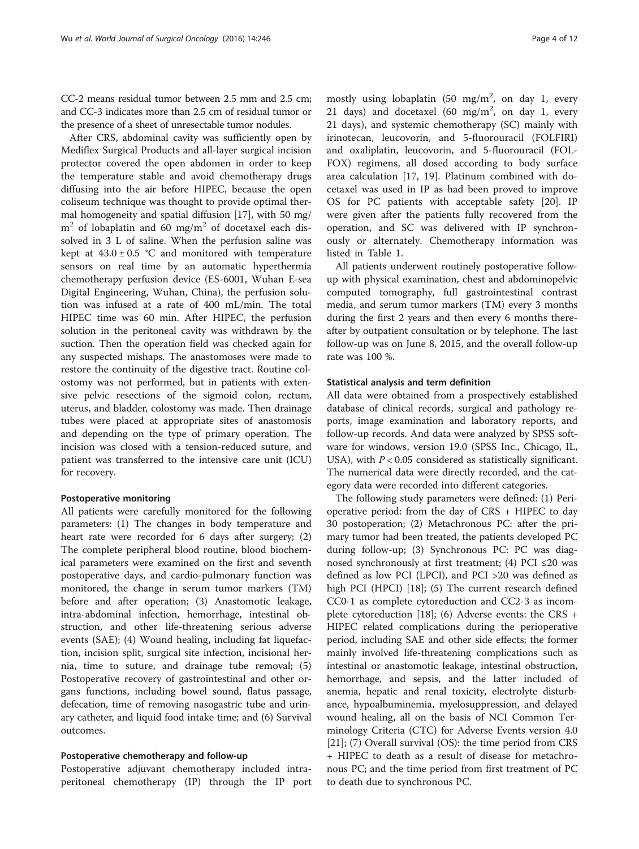CC-2 means residual tumor between 2.5 mm and 2.5 cm; and CC-3 indicates more than 2.5 cm of residual tumor or the presence of a sheet of unresectable tumor nodules.

After CRS, abdominal cavity was sufficiently open by Mediflex Surgical Products and all-layer surgical incision protector covered the open abdomen in order to keep the temperature stable and avoid chemotherapy drugs diffusing into the air before HIPEC, because the open coliseum technique was thought to provide optimal thermal homogeneity and spatial diffusion [\[17\]](#page-11-0), with 50 mg/  $m<sup>2</sup>$  of lobaplatin and 60 mg/m<sup>2</sup> of docetaxel each dissolved in 3 L of saline. When the perfusion saline was kept at  $43.0 \pm 0.5$  °C and monitored with temperature sensors on real time by an automatic hyperthermia chemotherapy perfusion device (ES-6001, Wuhan E-sea Digital Engineering, Wuhan, China), the perfusion solution was infused at a rate of 400 mL/min. The total HIPEC time was 60 min. After HIPEC, the perfusion solution in the peritoneal cavity was withdrawn by the suction. Then the operation field was checked again for any suspected mishaps. The anastomoses were made to restore the continuity of the digestive tract. Routine colostomy was not performed, but in patients with extensive pelvic resections of the sigmoid colon, rectum, uterus, and bladder, colostomy was made. Then drainage tubes were placed at appropriate sites of anastomosis and depending on the type of primary operation. The incision was closed with a tension-reduced suture, and patient was transferred to the intensive care unit (ICU) for recovery.

### Postoperative monitoring

All patients were carefully monitored for the following parameters: (1) The changes in body temperature and heart rate were recorded for 6 days after surgery; (2) The complete peripheral blood routine, blood biochemical parameters were examined on the first and seventh postoperative days, and cardio-pulmonary function was monitored, the change in serum tumor markers (TM) before and after operation; (3) Anastomotic leakage, intra-abdominal infection, hemorrhage, intestinal obstruction, and other life-threatening serious adverse events (SAE); (4) Wound healing, including fat liquefaction, incision split, surgical site infection, incisional hernia, time to suture, and drainage tube removal; (5) Postoperative recovery of gastrointestinal and other organs functions, including bowel sound, flatus passage, defecation, time of removing nasogastric tube and urinary catheter, and liquid food intake time; and (6) Survival outcomes.

#### Postoperative chemotherapy and follow-up

Postoperative adjuvant chemotherapy included intraperitoneal chemotherapy (IP) through the IP port

mostly using lobaplatin  $(50 \text{ mg/m}^2, \text{ on day 1, every})$ 21 days) and docetaxel  $(60 \text{ mg/m}^2, \text{ on day 1, every})$ 21 days), and systemic chemotherapy (SC) mainly with irinotecan, leucovorin, and 5-fluorouracil (FOLFIRI) and oxaliplatin, leucovorin, and 5-fluorouracil (FOL-FOX) regimens, all dosed according to body surface area calculation [[17, 19](#page-11-0)]. Platinum combined with docetaxel was used in IP as had been proved to improve OS for PC patients with acceptable safety [[20\]](#page-11-0). IP were given after the patients fully recovered from the operation, and SC was delivered with IP synchronously or alternately. Chemotherapy information was listed in Table [1.](#page-2-0)

All patients underwent routinely postoperative followup with physical examination, chest and abdominopelvic computed tomography, full gastrointestinal contrast media, and serum tumor markers (TM) every 3 months during the first 2 years and then every 6 months thereafter by outpatient consultation or by telephone. The last follow-up was on June 8, 2015, and the overall follow-up rate was 100 %.

#### Statistical analysis and term definition

All data were obtained from a prospectively established database of clinical records, surgical and pathology reports, image examination and laboratory reports, and follow-up records. And data were analyzed by SPSS software for windows, version 19.0 (SPSS Inc., Chicago, IL, USA), with  $P < 0.05$  considered as statistically significant. The numerical data were directly recorded, and the category data were recorded into different categories.

The following study parameters were defined: (1) Perioperative period: from the day of  $CRS + HIPEC$  to day 30 postoperation; (2) Metachronous PC: after the primary tumor had been treated, the patients developed PC during follow-up; (3) Synchronous PC: PC was diagnosed synchronously at first treatment; (4) PCI  $\leq$ 20 was defined as low PCI (LPCI), and PCI >20 was defined as high PCI (HPCI) [\[18](#page-11-0)]; (5) The current research defined CC0-1 as complete cytoreduction and CC2-3 as incomplete cytoreduction [[18\]](#page-11-0); (6) Adverse events: the CRS + HIPEC related complications during the perioperative period, including SAE and other side effects; the former mainly involved life-threatening complications such as intestinal or anastomotic leakage, intestinal obstruction, hemorrhage, and sepsis, and the latter included of anemia, hepatic and renal toxicity, electrolyte disturbance, hypoalbuminemia, myelosuppression, and delayed wound healing, all on the basis of NCI Common Terminology Criteria (CTC) for Adverse Events version 4.0 [[21\]](#page-11-0); (7) Overall survival (OS): the time period from CRS + HIPEC to death as a result of disease for metachronous PC; and the time period from first treatment of PC to death due to synchronous PC.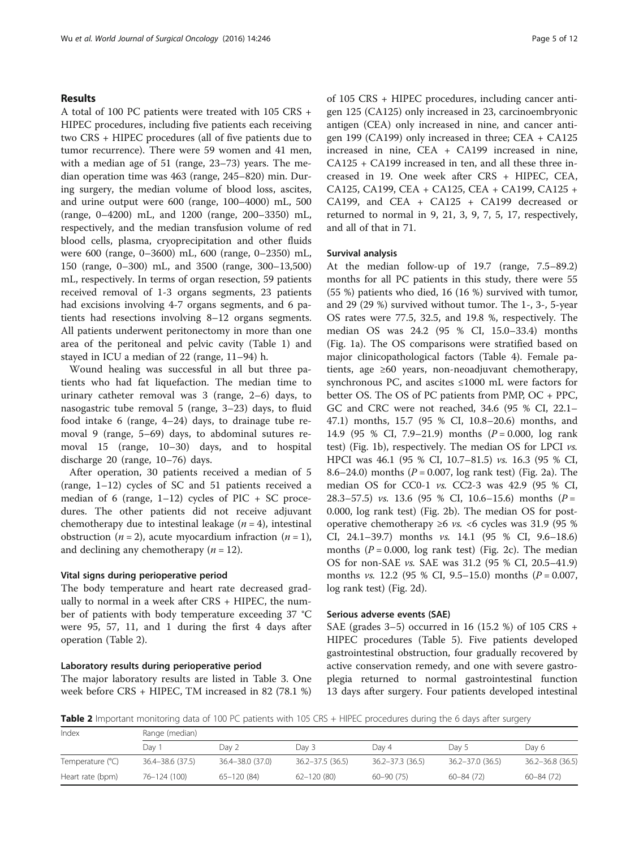# Results

A total of 100 PC patients were treated with 105 CRS + HIPEC procedures, including five patients each receiving two CRS + HIPEC procedures (all of five patients due to tumor recurrence). There were 59 women and 41 men, with a median age of 51 (range, 23–73) years. The median operation time was 463 (range, 245–820) min. During surgery, the median volume of blood loss, ascites, and urine output were 600 (range, 100–4000) mL, 500 (range, 0–4200) mL, and 1200 (range, 200–3350) mL, respectively, and the median transfusion volume of red blood cells, plasma, cryoprecipitation and other fluids were 600 (range, 0–3600) mL, 600 (range, 0–2350) mL, 150 (range, 0–300) mL, and 3500 (range, 300–13,500) mL, respectively. In terms of organ resection, 59 patients received removal of 1-3 organs segments, 23 patients had excisions involving 4-7 organs segments, and 6 patients had resections involving 8–12 organs segments. All patients underwent peritonectomy in more than one area of the peritoneal and pelvic cavity (Table [1](#page-2-0)) and stayed in ICU a median of 22 (range, 11–94) h.

Wound healing was successful in all but three patients who had fat liquefaction. The median time to urinary catheter removal was 3 (range, 2–6) days, to nasogastric tube removal 5 (range, 3–23) days, to fluid food intake 6 (range, 4–24) days, to drainage tube removal 9 (range, 5–69) days, to abdominal sutures removal 15 (range, 10–30) days, and to hospital discharge 20 (range, 10–76) days.

After operation, 30 patients received a median of 5 (range, 1–12) cycles of SC and 51 patients received a median of 6 (range,  $1-12$ ) cycles of PIC + SC procedures. The other patients did not receive adjuvant chemotherapy due to intestinal leakage  $(n = 4)$ , intestinal obstruction ( $n = 2$ ), acute myocardium infraction ( $n = 1$ ), and declining any chemotherapy  $(n = 12)$ .

#### Vital signs during perioperative period

The body temperature and heart rate decreased gradually to normal in a week after  $CRS + HIPEC$ , the number of patients with body temperature exceeding 37 °C were 95, 57, 11, and 1 during the first 4 days after operation (Table 2).

#### Laboratory results during perioperative period

The major laboratory results are listed in Table [3.](#page-5-0) One week before CRS + HIPEC, TM increased in 82 (78.1 %)

of 105 CRS + HIPEC procedures, including cancer antigen 125 (CA125) only increased in 23, carcinoembryonic antigen (CEA) only increased in nine, and cancer antigen 199 (CA199) only increased in three; CEA + CA125 increased in nine, CEA + CA199 increased in nine, CA125 + CA199 increased in ten, and all these three increased in 19. One week after CRS + HIPEC, CEA, CA125, CA199, CEA + CA125, CEA + CA199, CA125 + CA199, and CEA + CA125 + CA199 decreased or returned to normal in 9, 21, 3, 9, 7, 5, 17, respectively, and all of that in 71.

#### Survival analysis

At the median follow-up of 19.7 (range, 7.5–89.2) months for all PC patients in this study, there were 55 (55 %) patients who died, 16 (16 %) survived with tumor, and 29 (29 %) survived without tumor. The 1-, 3-, 5-year OS rates were 77.5, 32.5, and 19.8 %, respectively. The median OS was 24.2 (95 % CI, 15.0–33.4) months (Fig. [1a\)](#page-6-0). The OS comparisons were stratified based on major clinicopathological factors (Table [4\)](#page-7-0). Female patients, age ≥60 years, non-neoadjuvant chemotherapy, synchronous PC, and ascites ≤1000 mL were factors for better OS. The OS of PC patients from PMP, OC + PPC, GC and CRC were not reached, 34.6 (95 % CI, 22.1– 47.1) months, 15.7 (95 % CI, 10.8–20.6) months, and 14.9 (95 % CI, 7.9–21.9) months  $(P = 0.000, \text{log rank})$ test) (Fig. [1b](#page-6-0)), respectively. The median OS for LPCI vs. HPCI was 46.1 (95 % CI, 10.7–81.5) vs. 16.3 (95 % CI, 8.6–24.0) months ( $P = 0.007$ , log rank test) (Fig. [2a\)](#page-8-0). The median OS for CC0-1 vs. CC2-3 was 42.9 (95 % CI, 28.3–57.5) vs. 13.6 (95 % CI, 10.6–15.6) months ( $P =$ 0.000, log rank test) (Fig. [2b](#page-8-0)). The median OS for postoperative chemotherapy ≥6 *vs.* <6 cycles was 31.9 (95 %) CI, 24.1–39.7) months vs. 14.1 (95 % CI, 9.6–18.6) months ( $P = 0.000$ , log rank test) (Fig. [2c\)](#page-8-0). The median OS for non-SAE vs. SAE was 31.2 (95 % CI, 20.5–41.9) months *vs.* 12.2 (95 % CI, 9.5–15.0) months  $(P = 0.007,$ log rank test) (Fig. [2d\)](#page-8-0).

#### Serious adverse events (SAE)

SAE (grades 3–5) occurred in 16 (15.2 %) of 105 CRS + HIPEC procedures (Table [5](#page-9-0)). Five patients developed gastrointestinal obstruction, four gradually recovered by active conservation remedy, and one with severe gastroplegia returned to normal gastrointestinal function 13 days after surgery. Four patients developed intestinal

Table 2 Important monitoring data of 100 PC patients with 105 CRS + HIPEC procedures during the 6 days after surgery

| Index            | Range (median)       |                  |                     |                      |                  |                  |  |  |  |  |
|------------------|----------------------|------------------|---------------------|----------------------|------------------|------------------|--|--|--|--|
|                  | Day                  | Dav 2            | Day 3               | Dav 4                | Day 5            | Dav 6            |  |  |  |  |
| Temperature (°C) | $36.4 - 38.6$ (37.5) | 36.4-38.0 (37.0) | $36.2 - 37.5(36.5)$ | $36.2 - 37.3$ (36.5) | 36.2-37.0 (36.5) | 36.2-36.8 (36.5) |  |  |  |  |
| Heart rate (bpm) | 76-124 (100)         | $65 - 120(84)$   | $62 - 120(80)$      | $60 - 90(75)$        | $60 - 84(72)$    | 60-84 (72)       |  |  |  |  |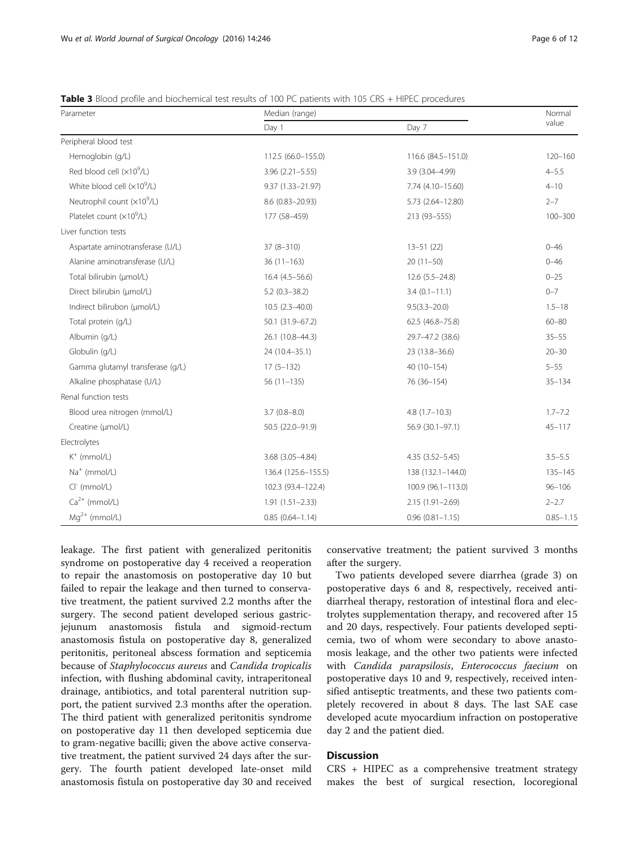Renal function tests

Electrolytes

| Parameter                        | Median (range)         | Normal             |             |
|----------------------------------|------------------------|--------------------|-------------|
|                                  | Day 1                  | Day 7              | value       |
| Peripheral blood test            |                        |                    |             |
| Hemoglobin (g/L)                 | 112.5 (66.0-155.0)     | 116.6 (84.5-151.0) | $120 - 160$ |
| Red blood cell $(x10^9/L)$       | $3.96$ $(2.21 - 5.55)$ | $3.9(3.04 - 4.99)$ | $4 - 5.5$   |
| White blood cell $(x109/L)$      | 9.37 (1.33-21.97)      | 7.74 (4.10-15.60)  | $4 - 10$    |
| Neutrophil count $(x10^9/L)$     | 8.6 (0.83-20.93)       | 5.73 (2.64-12.80)  | $2 - 7$     |
| Platelet count $(x10^9/L)$       | 177 (58-459)           | 213 (93-555)       | $100 - 300$ |
| Liver function tests             |                        |                    |             |
| Aspartate aminotransferase (U/L) | $37(8-310)$            | $13 - 51(22)$      | $0 - 46$    |
| Alanine aminotransferase (U/L)   | $36(11-163)$           | $20(11-50)$        | $0 - 46$    |
| Total bilirubin (µmol/L)         | $16.4(4.5-56.6)$       | $12.6(5.5-24.8)$   | $0 - 25$    |
| Direct bilirubin (µmol/L)        | $5.2(0.3 - 38.2)$      | $3.4(0.1 - 11.1)$  | $0 - 7$     |
| Indirect bilirubon (µmol/L)      | $10.5(2.3-40.0)$       | $9.5(3.3 - 20.0)$  | $1.5 - 18$  |
| Total protein (g/L)              | 50.1 (31.9-67.2)       | 62.5 (46.8-75.8)   | $60 - 80$   |
| Albumin (g/L)                    | 26.1 (10.8-44.3)       | 29.7-47.2 (38.6)   | $35 - 55$   |
| Globulin (g/L)                   | 24 (10.4-35.1)         | 23 (13.8-36.6)     | $20 - 30$   |
| Gamma glutamyl transferase (g/L) | $17(5-132)$            | 40 (10-154)        | $5 - 55$    |
| Alkaline phosphatase (U/L)       | $56(11-135)$           | 76 (36-154)        | $35 - 134$  |

Blood urea nitrogen (mmol/L) 3.7 (0.8–8.0) 4.8 (1.7–10.3) 1.7–7.2 Creatine (μmol/L) 50.5 (22.0–91.9) 56.9 (30.1–97.1) 45–117

 $K^+$  (mmol/L) 3.5–5.5 (3.05–4.84) 4.35 (3.52–5.45) 4.35 (3.52–5.45) 3.5–5.5 Na<sup>+</sup> (mmol/L) 135–145 (125.6–155.5) 138 (125.6–155.5) 138 (132.1–144.0) 135–145 Cl- (mmol/L) 102.3 (93.4–122.4) 100.9 (96.1–113.0) 96–106  $Ca^{2+}$  (mmol/L)  $1.91$  (1.51–2.33)  $2-2.7$  $Mg^{2+}$  (mmol/L) 0.85–1.15 0.85 (0.64–1.14) 0.96 (0.81–1.15) 0.85–1.15

<span id="page-5-0"></span>Table 3 Blood profile and biochemical test results of 100 PC patients with 105 CRS + HIPEC procedures

leakage. The first patient with generalized peritonitis syndrome on postoperative day 4 received a reoperation to repair the anastomosis on postoperative day 10 but failed to repair the leakage and then turned to conservative treatment, the patient survived 2.2 months after the surgery. The second patient developed serious gastricjejunum anastomosis fistula and sigmoid-rectum anastomosis fistula on postoperative day 8, generalized peritonitis, peritoneal abscess formation and septicemia because of Staphylococcus aureus and Candida tropicalis infection, with flushing abdominal cavity, intraperitoneal drainage, antibiotics, and total parenteral nutrition support, the patient survived 2.3 months after the operation. The third patient with generalized peritonitis syndrome on postoperative day 11 then developed septicemia due to gram-negative bacilli; given the above active conservative treatment, the patient survived 24 days after the surgery. The fourth patient developed late-onset mild anastomosis fistula on postoperative day 30 and received

conservative treatment; the patient survived 3 months after the surgery.

Two patients developed severe diarrhea (grade 3) on postoperative days 6 and 8, respectively, received antidiarrheal therapy, restoration of intestinal flora and electrolytes supplementation therapy, and recovered after 15 and 20 days, respectively. Four patients developed septicemia, two of whom were secondary to above anastomosis leakage, and the other two patients were infected with Candida parapsilosis, Enterococcus faecium on postoperative days 10 and 9, respectively, received intensified antiseptic treatments, and these two patients completely recovered in about 8 days. The last SAE case developed acute myocardium infraction on postoperative day 2 and the patient died.

# **Discussion**

CRS + HIPEC as a comprehensive treatment strategy makes the best of surgical resection, locoregional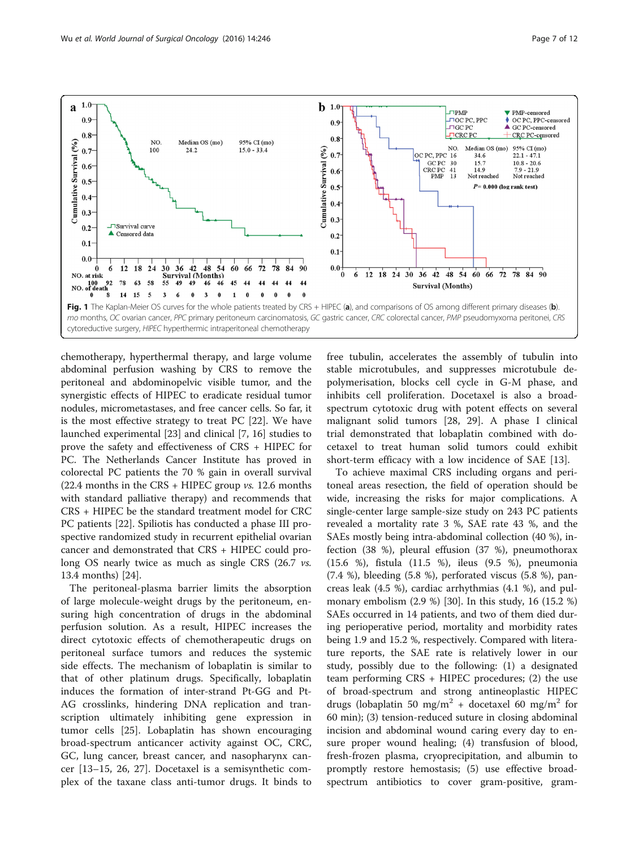<span id="page-6-0"></span>

chemotherapy, hyperthermal therapy, and large volume abdominal perfusion washing by CRS to remove the peritoneal and abdominopelvic visible tumor, and the synergistic effects of HIPEC to eradicate residual tumor nodules, micrometastases, and free cancer cells. So far, it is the most effective strategy to treat PC [[22\]](#page-11-0). We have launched experimental [\[23\]](#page-11-0) and clinical [\[7, 16\]](#page-11-0) studies to prove the safety and effectiveness of CRS + HIPEC for PC. The Netherlands Cancer Institute has proved in colorectal PC patients the 70 % gain in overall survival (22.4 months in the CRS + HIPEC group  $vs.$  12.6 months with standard palliative therapy) and recommends that CRS + HIPEC be the standard treatment model for CRC PC patients [\[22](#page-11-0)]. Spiliotis has conducted a phase III prospective randomized study in recurrent epithelial ovarian cancer and demonstrated that CRS + HIPEC could prolong OS nearly twice as much as single CRS (26.7 *vs.* 13.4 months) [[24\]](#page-11-0).

The peritoneal-plasma barrier limits the absorption of large molecule-weight drugs by the peritoneum, ensuring high concentration of drugs in the abdominal perfusion solution. As a result, HIPEC increases the direct cytotoxic effects of chemotherapeutic drugs on peritoneal surface tumors and reduces the systemic side effects. The mechanism of lobaplatin is similar to that of other platinum drugs. Specifically, lobaplatin induces the formation of inter-strand Pt-GG and Pt-AG crosslinks, hindering DNA replication and transcription ultimately inhibiting gene expression in tumor cells [[25\]](#page-11-0). Lobaplatin has shown encouraging broad-spectrum anticancer activity against OC, CRC, GC, lung cancer, breast cancer, and nasopharynx cancer [[13](#page-11-0)–[15](#page-11-0), [26, 27\]](#page-11-0). Docetaxel is a semisynthetic complex of the taxane class anti-tumor drugs. It binds to

free tubulin, accelerates the assembly of tubulin into stable microtubules, and suppresses microtubule depolymerisation, blocks cell cycle in G-M phase, and inhibits cell proliferation. Docetaxel is also a broadspectrum cytotoxic drug with potent effects on several malignant solid tumors [[28, 29](#page-11-0)]. A phase I clinical trial demonstrated that lobaplatin combined with docetaxel to treat human solid tumors could exhibit short-term efficacy with a low incidence of SAE [\[13\]](#page-11-0).

To achieve maximal CRS including organs and peritoneal areas resection, the field of operation should be wide, increasing the risks for major complications. A single-center large sample-size study on 243 PC patients revealed a mortality rate 3 %, SAE rate 43 %, and the SAEs mostly being intra-abdominal collection (40 %), infection (38 %), pleural effusion (37 %), pneumothorax (15.6 %), fistula (11.5 %), ileus (9.5 %), pneumonia (7.4 %), bleeding (5.8 %), perforated viscus (5.8 %), pancreas leak (4.5 %), cardiac arrhythmias (4.1 %), and pulmonary embolism (2.9 %) [[30\]](#page-11-0). In this study, 16 (15.2 %) SAEs occurred in 14 patients, and two of them died during perioperative period, mortality and morbidity rates being 1.9 and 15.2 %, respectively. Compared with literature reports, the SAE rate is relatively lower in our study, possibly due to the following: (1) a designated team performing CRS + HIPEC procedures; (2) the use of broad-spectrum and strong antineoplastic HIPEC drugs (lobaplatin 50 mg/m<sup>2</sup> + docetaxel 60 mg/m<sup>2</sup> for 60 min); (3) tension-reduced suture in closing abdominal incision and abdominal wound caring every day to ensure proper wound healing; (4) transfusion of blood, fresh-frozen plasma, cryoprecipitation, and albumin to promptly restore hemostasis; (5) use effective broadspectrum antibiotics to cover gram-positive, gram-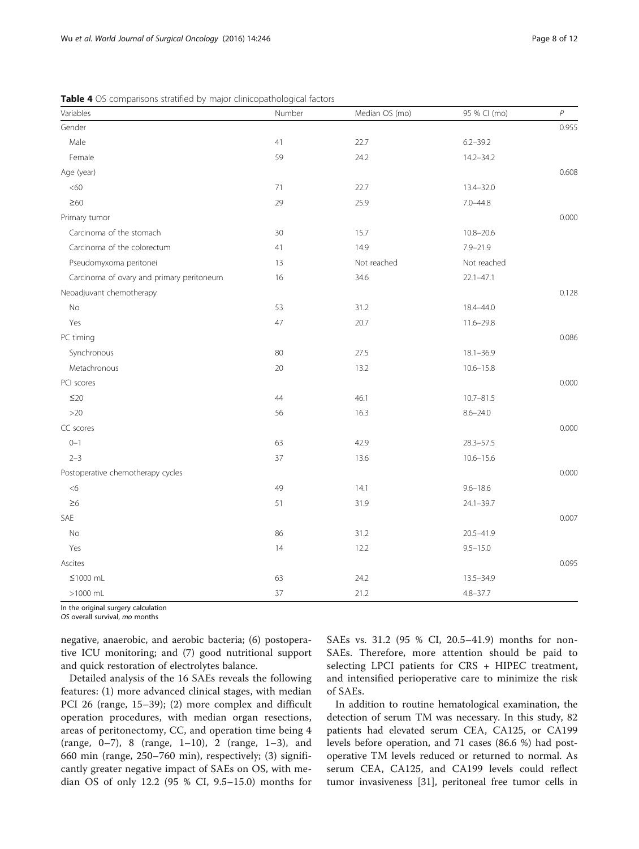| Variables                                 | Number | Median OS (mo) | 95 % CI (mo)  | $\boldsymbol{P}$ |
|-------------------------------------------|--------|----------------|---------------|------------------|
| Gender                                    |        |                |               | 0.955            |
| Male                                      | 41     | 22.7           | $6.2 - 39.2$  |                  |
| Female                                    | 59     | 24.2           | $14.2 - 34.2$ |                  |
| Age (year)                                |        |                |               | 0.608            |
| <60                                       | 71     | 22.7           | 13.4-32.0     |                  |
| $\geq 60$                                 | 29     | 25.9           | $7.0 - 44.8$  |                  |
| Primary tumor                             |        |                |               | 0.000            |
| Carcinoma of the stomach                  | 30     | 15.7           | $10.8 - 20.6$ |                  |
| Carcinoma of the colorectum               | 41     | 14.9           | $7.9 - 21.9$  |                  |
| Pseudomyxoma peritonei                    | 13     | Not reached    | Not reached   |                  |
| Carcinoma of ovary and primary peritoneum | 16     | 34.6           | $22.1 - 47.1$ |                  |
| Neoadjuvant chemotherapy                  |        |                |               | 0.128            |
| No                                        | 53     | 31.2           | 18.4-44.0     |                  |
| Yes                                       | 47     | 20.7           | $11.6 - 29.8$ |                  |
| PC timing                                 |        |                |               | 0.086            |
| Synchronous                               | 80     | 27.5           | $18.1 - 36.9$ |                  |
| Metachronous                              | 20     | 13.2           | $10.6 - 15.8$ |                  |
| PCI scores                                |        |                |               | 0.000            |
| $\leq$ 20                                 | 44     | 46.1           | $10.7 - 81.5$ |                  |
| $>20$                                     | 56     | 16.3           | $8.6 - 24.0$  |                  |
| CC scores                                 |        |                |               | 0.000            |
| $0 - 1$                                   | 63     | 42.9           | $28.3 - 57.5$ |                  |
| $2 - 3$                                   | 37     | 13.6           | $10.6 - 15.6$ |                  |
| Postoperative chemotherapy cycles         |        |                |               | 0.000            |
| <6                                        | 49     | 14.1           | $9.6 - 18.6$  |                  |
| $\geq 6$                                  | 51     | 31.9           | $24.1 - 39.7$ |                  |
| SAE                                       |        |                |               | 0.007            |
| No                                        | 86     | 31.2           | 20.5-41.9     |                  |
| Yes                                       | 14     | 12.2           | $9.5 - 15.0$  |                  |
| Ascites                                   |        |                |               | 0.095            |
| $≤1000$ mL                                | 63     | 24.2           | 13.5-34.9     |                  |
| $>1000$ mL                                | 37     | 21.2           | $4.8 - 37.7$  |                  |

<span id="page-7-0"></span>Table 4 OS comparisons stratified by major clinicopathological factors

In the original surgery calculation

OS overall survival, mo months

negative, anaerobic, and aerobic bacteria; (6) postoperative ICU monitoring; and (7) good nutritional support and quick restoration of electrolytes balance.

Detailed analysis of the 16 SAEs reveals the following features: (1) more advanced clinical stages, with median PCI 26 (range, 15–39); (2) more complex and difficult operation procedures, with median organ resections, areas of peritonectomy, CC, and operation time being 4 (range, 0–7), 8 (range, 1–10), 2 (range, 1–3), and 660 min (range, 250–760 min), respectively; (3) significantly greater negative impact of SAEs on OS, with median OS of only 12.2 (95 % CI, 9.5–15.0) months for SAEs vs. 31.2 (95 % CI, 20.5–41.9) months for non-SAEs. Therefore, more attention should be paid to selecting LPCI patients for CRS + HIPEC treatment, and intensified perioperative care to minimize the risk of SAEs.

In addition to routine hematological examination, the detection of serum TM was necessary. In this study, 82 patients had elevated serum CEA, CA125, or CA199 levels before operation, and 71 cases (86.6 %) had postoperative TM levels reduced or returned to normal. As serum CEA, CA125, and CA199 levels could reflect tumor invasiveness [\[31](#page-11-0)], peritoneal free tumor cells in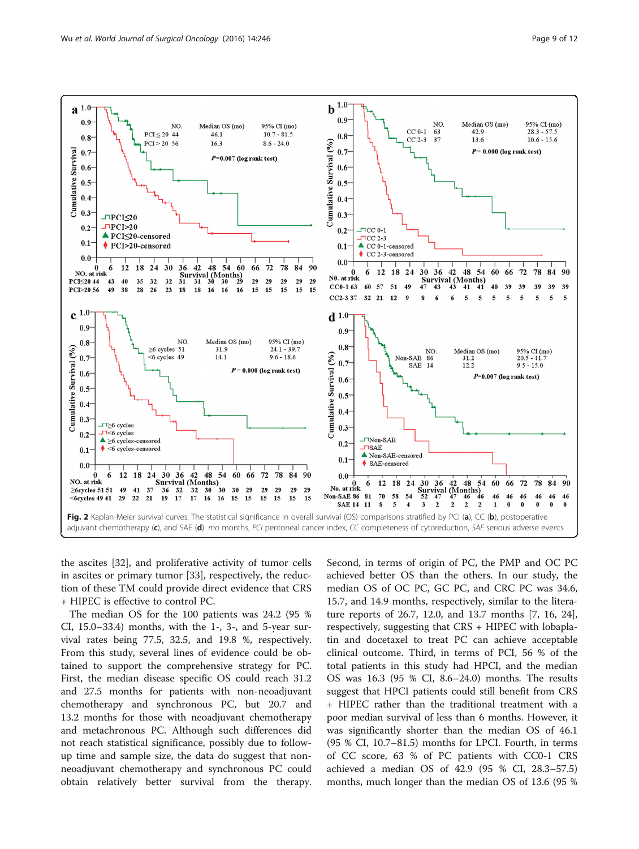<span id="page-8-0"></span>

the ascites [\[32](#page-11-0)], and proliferative activity of tumor cells in ascites or primary tumor [[33\]](#page-11-0), respectively, the reduction of these TM could provide direct evidence that CRS + HIPEC is effective to control PC.

The median OS for the 100 patients was 24.2 (95 % CI,  $15.0-33.4$ ) months, with the  $1-$ ,  $3-$ , and  $5$ -year survival rates being 77.5, 32.5, and 19.8 %, respectively. From this study, several lines of evidence could be obtained to support the comprehensive strategy for PC. First, the median disease specific OS could reach 31.2 and 27.5 months for patients with non-neoadjuvant chemotherapy and synchronous PC, but 20.7 and 13.2 months for those with neoadjuvant chemotherapy and metachronous PC. Although such differences did not reach statistical significance, possibly due to followup time and sample size, the data do suggest that nonneoadjuvant chemotherapy and synchronous PC could obtain relatively better survival from the therapy. Second, in terms of origin of PC, the PMP and OC PC achieved better OS than the others. In our study, the median OS of OC PC, GC PC, and CRC PC was 34.6, 15.7, and 14.9 months, respectively, similar to the literature reports of 26.7, 12.0, and 13.7 months [\[7, 16](#page-11-0), [24](#page-11-0)], respectively, suggesting that CRS + HIPEC with lobaplatin and docetaxel to treat PC can achieve acceptable clinical outcome. Third, in terms of PCI, 56 % of the total patients in this study had HPCI, and the median OS was 16.3 (95 % CI, 8.6–24.0) months. The results suggest that HPCI patients could still benefit from CRS + HIPEC rather than the traditional treatment with a poor median survival of less than 6 months. However, it was significantly shorter than the median OS of 46.1 (95 % CI, 10.7–81.5) months for LPCI. Fourth, in terms of CC score, 63 % of PC patients with CC0-1 CRS achieved a median OS of 42.9 (95 % CI, 28.3–57.5) months, much longer than the median OS of 13.6 (95 %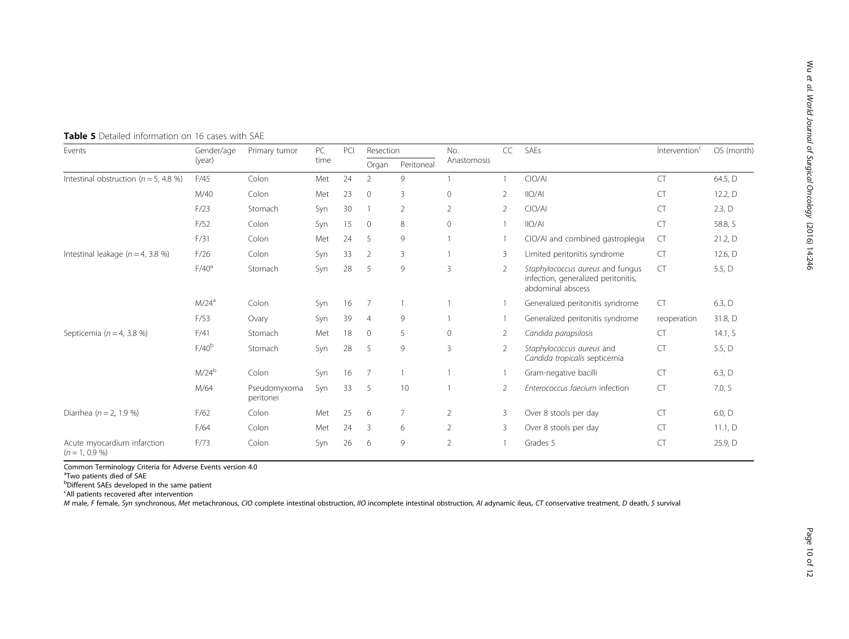Wu

| Events                                          | Gender/age<br>(year) | Primary tumor             | PC<br>time | PCI | Resection      |                | No.          | CC             | SAEs                                                                                         | Intervention <sup>c</sup> | OS (month) |
|-------------------------------------------------|----------------------|---------------------------|------------|-----|----------------|----------------|--------------|----------------|----------------------------------------------------------------------------------------------|---------------------------|------------|
|                                                 |                      |                           |            |     | Organ          | Peritoneal     | Anastomosis  |                |                                                                                              |                           |            |
| Intestinal obstruction ( $n = 5$ , 4.8 %)       | F/45                 | Colon                     | Met        | 24  | $\mathfrak{D}$ | 9              |              |                | ClO/Al                                                                                       | CT                        | 64.5, D    |
|                                                 | M/40                 | Colon                     | Met        | 23  | $\mathbf{0}$   | 3              | $\mathbf{0}$ | 2              | IIO/AI                                                                                       | <b>CT</b>                 | 12.2, $D$  |
|                                                 | F/23                 | Stomach                   | Syn        | 30  |                | 2              | 2            | 2              | ClO/Al                                                                                       | CT                        | 2.3, D     |
|                                                 | F/52                 | Colon                     | Syn        | 15  | $\mathbf 0$    | 8              | $\mathbf{0}$ |                | IIO/AI                                                                                       | CT                        | 58.8, S    |
|                                                 | F/31                 | Colon                     | Met        | 24  | 5              | 9              |              |                | CIO/AI and combined gastroplegia                                                             | <b>CT</b>                 | 21.2, D    |
| Intestinal leakage ( $n = 4$ , 3.8 %)           | F/26                 | Colon                     | Syn        | 33  | $\overline{2}$ | 3              |              | 3              | Limited peritonitis syndrome                                                                 | <b>CT</b>                 | 12.6, $D$  |
|                                                 | F/40 <sup>a</sup>    | Stomach                   | Syn        | 28  | 5              | 9              | 3            | $\overline{2}$ | Staphylococcus aureus and fungus<br>infection, generalized peritonitis,<br>abdominal abscess | <b>CT</b>                 | 5.5, D     |
|                                                 | M/24 <sup>a</sup>    | Colon                     | Syn        | 16  | 7              |                |              |                | Generalized peritonitis syndrome                                                             | <b>CT</b>                 | 6.3, D     |
|                                                 | F/53                 | Ovary                     | Syn        | 39  | $\overline{4}$ | 9              |              |                | Generalized peritonitis syndrome                                                             | reoperation               | 31.8, D    |
| Septicemia ( $n = 4$ , 3.8 %)                   | F/41                 | Stomach                   | Met        | 18  | $\mathbf{0}$   | 5              | $\Omega$     | 2              | Candida parapsilosis                                                                         | CT                        | 14.1, $S$  |
|                                                 | F/40 <sup>b</sup>    | Stomach                   | Syn        | 28  | 5              | 9              | 3            | 2              | Staphylococcus aureus and<br>Candida tropicalis septicemia                                   | CT                        | 5.5, $D$   |
|                                                 | $M/24^b$             | Colon                     | Syn        | 16  | $\overline{7}$ |                |              |                | Gram-negative bacilli                                                                        | CT                        | 6.3, D     |
|                                                 | M/64                 | Pseudomyxoma<br>peritonei | Syn        | 33  | 5              | 10             |              | $\overline{2}$ | Enterococcus faecium infection                                                               | <b>CT</b>                 | 7.0, S     |
| Diarrhea ( $n = 2, 1.9$ %)                      | F/62                 | Colon                     | Met        | 25  | 6              | $\overline{7}$ | 2            | 3              | Over 8 stools per day                                                                        | CT                        | 6.0, D     |
|                                                 | F/64                 | Colon                     | Met        | 24  | 3              | 6              | 2            | 3              | Over 8 stools per day                                                                        | <b>CT</b>                 | 11.1, $D$  |
| Acute myocardium infarction<br>$(n = 1, 0.9\%)$ | F/73                 | Colon                     | Syn        | 26  | 6              | 9              | 2            |                | Grades 5                                                                                     | CT                        | 25.9, D    |

<span id="page-9-0"></span>Table 5 Detailed information on 16 cases with SAE

Common Terminology Criteria for Adverse Events version 4.0

<sup>a</sup>Two patients died of SAE

b Different SAEs developed in the same patient

<sup>c</sup>All patients recovered after intervention

M male, F female, Syn synchronous, Met metachronous, CIO complete intestinal obstruction, IIO incomplete intestinal obstruction, AI adynamic ileus, CT conservative treatment, D death, S survival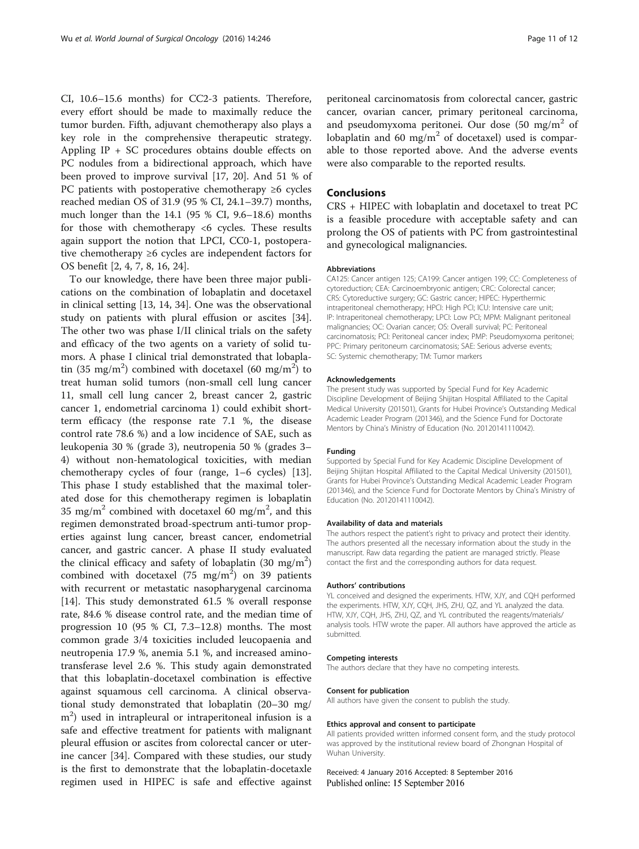CI, 10.6–15.6 months) for CC2-3 patients. Therefore, every effort should be made to maximally reduce the tumor burden. Fifth, adjuvant chemotherapy also plays a key role in the comprehensive therapeutic strategy. Appling IP + SC procedures obtains double effects on PC nodules from a bidirectional approach, which have been proved to improve survival [\[17, 20\]](#page-11-0). And 51 % of PC patients with postoperative chemotherapy  $\geq 6$  cycles reached median OS of 31.9 (95 % CI, 24.1–39.7) months, much longer than the 14.1 (95 % CI, 9.6–18.6) months for those with chemotherapy <6 cycles. These results again support the notion that LPCI, CC0-1, postoperative chemotherapy ≥6 cycles are independent factors for OS benefit [\[2](#page-11-0), [4](#page-11-0), [7](#page-11-0), [8](#page-11-0), [16](#page-11-0), [24](#page-11-0)].

To our knowledge, there have been three major publications on the combination of lobaplatin and docetaxel in clinical setting [\[13, 14, 34\]](#page-11-0). One was the observational study on patients with plural effusion or ascites [\[34](#page-11-0)]. The other two was phase I/II clinical trials on the safety and efficacy of the two agents on a variety of solid tumors. A phase I clinical trial demonstrated that lobaplatin (35 mg/m<sup>2</sup>) combined with docetaxel (60 mg/m<sup>2</sup>) to treat human solid tumors (non-small cell lung cancer 11, small cell lung cancer 2, breast cancer 2, gastric cancer 1, endometrial carcinoma 1) could exhibit shortterm efficacy (the response rate 7.1 %, the disease control rate 78.6 %) and a low incidence of SAE, such as leukopenia 30 % (grade 3), neutropenia 50 % (grades 3– 4) without non-hematological toxicities, with median chemotherapy cycles of four (range, 1–6 cycles) [\[13](#page-11-0)]. This phase I study established that the maximal tolerated dose for this chemotherapy regimen is lobaplatin 35 mg/m<sup>2</sup> combined with docetaxel 60 mg/m<sup>2</sup>, and this regimen demonstrated broad-spectrum anti-tumor properties against lung cancer, breast cancer, endometrial cancer, and gastric cancer. A phase II study evaluated the clinical efficacy and safety of lobaplatin  $(30 \text{ mg/m}^2)$ combined with docetaxel  $(75 \text{ mg/m}^2)$  on 39 patients with recurrent or metastatic nasopharygenal carcinoma [[14\]](#page-11-0). This study demonstrated 61.5 % overall response rate, 84.6 % disease control rate, and the median time of progression 10 (95 % CI, 7.3–12.8) months. The most common grade 3/4 toxicities included leucopaenia and neutropenia 17.9 %, anemia 5.1 %, and increased aminotransferase level 2.6 %. This study again demonstrated that this lobaplatin-docetaxel combination is effective against squamous cell carcinoma. A clinical observational study demonstrated that lobaplatin (20–30 mg/ m<sup>2</sup>) used in intrapleural or intraperitoneal infusion is a safe and effective treatment for patients with malignant pleural effusion or ascites from colorectal cancer or uterine cancer [[34\]](#page-11-0). Compared with these studies, our study is the first to demonstrate that the lobaplatin-docetaxle regimen used in HIPEC is safe and effective against

peritoneal carcinomatosis from colorectal cancer, gastric cancer, ovarian cancer, primary peritoneal carcinoma, and pseudomyxoma peritonei. Our dose  $(50 \text{ mg/m}^2 \text{ of}$ lobaplatin and 60 mg/m<sup>2</sup> of docetaxel) used is comparable to those reported above. And the adverse events were also comparable to the reported results.

# Conclusions

CRS + HIPEC with lobaplatin and docetaxel to treat PC is a feasible procedure with acceptable safety and can prolong the OS of patients with PC from gastrointestinal and gynecological malignancies.

#### Abbreviations

CA125: Cancer antigen 125; CA199: Cancer antigen 199; CC: Completeness of cytoreduction; CEA: Carcinoembryonic antigen; CRC: Colorectal cancer; CRS: Cytoreductive surgery; GC: Gastric cancer; HIPEC: Hyperthermic intraperitoneal chemotherapy; HPCI: High PCI; ICU: Intensive care unit; IP: Intraperitoneal chemotherapy; LPCI: Low PCI; MPM: Malignant peritoneal malignancies; OC: Ovarian cancer; OS: Overall survival; PC: Peritoneal carcinomatosis; PCI: Peritoneal cancer index; PMP: Pseudomyxoma peritonei; PPC: Primary peritoneum carcinomatosis; SAE: Serious adverse events; SC: Systemic chemotherapy; TM: Tumor markers

#### Acknowledgements

The present study was supported by Special Fund for Key Academic Discipline Development of Beijing Shijitan Hospital Affiliated to the Capital Medical University (201501), Grants for Hubei Province's Outstanding Medical Academic Leader Program (201346), and the Science Fund for Doctorate Mentors by China's Ministry of Education (No. 20120141110042).

#### Funding

Supported by Special Fund for Key Academic Discipline Development of Beijing Shijitan Hospital Affiliated to the Capital Medical University (201501), Grants for Hubei Province's Outstanding Medical Academic Leader Program (201346), and the Science Fund for Doctorate Mentors by China's Ministry of Education (No. 20120141110042).

#### Availability of data and materials

The authors respect the patient's right to privacy and protect their identity. The authors presented all the necessary information about the study in the manuscript. Raw data regarding the patient are managed strictly. Please contact the first and the corresponding authors for data request.

#### Authors' contributions

YL conceived and designed the experiments. HTW, XJY, and CQH performed the experiments. HTW, XJY, CQH, JHS, ZHJ, QZ, and YL analyzed the data. HTW, XJY, CQH, JHS, ZHJ, QZ, and YL contributed the reagents/materials/ analysis tools. HTW wrote the paper. All authors have approved the article as submitted.

#### Competing interests

The authors declare that they have no competing interests.

#### Consent for publication

All authors have given the consent to publish the study.

#### Ethics approval and consent to participate

All patients provided written informed consent form, and the study protocol was approved by the institutional review board of Zhongnan Hospital of Wuhan University.

Received: 4 January 2016 Accepted: 8 September 2016 Published online: 15 September 2016